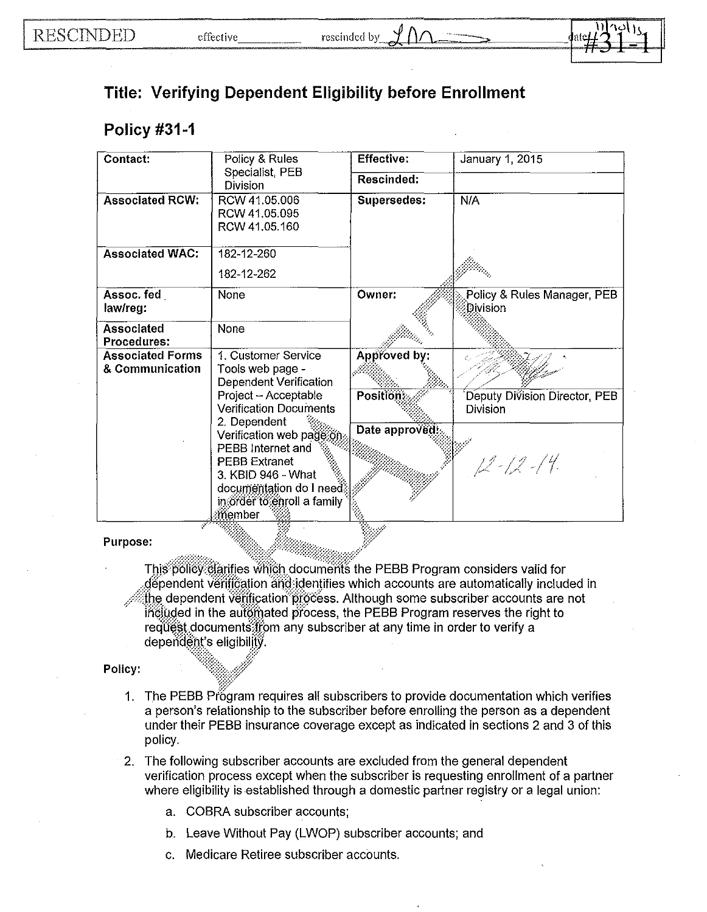

## **Verifying Dependent Eligibility before Enrollment**

## **Policy #31-1**

| Contact:                  | Policy & Rules                                  | <b>Effective:</b>  | January 1, 2015                         |
|---------------------------|-------------------------------------------------|--------------------|-----------------------------------------|
|                           | Specialist, PEB<br>Division                     | Rescinded:         |                                         |
| <b>Associated RCW:</b>    | RCW 41.05.006<br>RCW 41.05.095<br>RCW 41.05.160 | <b>Supersedes:</b> | N/A                                     |
| <b>Associated WAC:</b>    | 182-12-260                                      |                    |                                         |
|                           | 182-12-262                                      |                    |                                         |
| Assoc. fed<br>law/reg:    | None                                            | Owner:             | Policy & Rules Manager, PEB<br>Division |
| Associated<br>Procedures: | None                                            |                    |                                         |
| <b>Associated Forms</b>   | 1. Customer Service                             | Approved by:       |                                         |
| & Communication           | Tools web page -<br>Dependent Verification      |                    |                                         |
|                           | Project - Acceptable                            | <b>Position:</b>   | Deputy Division Director, PEB           |
|                           | <b>Verification Documents</b>                   |                    | <b>Division</b>                         |
|                           | 2. Dependent<br>Verification web page on        | Date approved:     |                                         |
|                           | PEBB Internet and                               |                    |                                         |
|                           | <b>PEBB Extranet</b>                            |                    | $12 - 12 - 14$                          |
|                           | 3. KBID 946 - What                              |                    |                                         |
|                           | documentation do I need                         |                    |                                         |
|                           | in order to enroll a family<br>:member          |                    |                                         |
|                           |                                                 | À                  |                                         |

## Purpose:

This policy clarifies which documents the PEBB Program considers valid for dependent verification and identifies which accounts are automatically included in the dependent verification process. Although some subscriber accounts are not included in the automated process, the PEBB Program reserves the right to request documents from any subscriber at any time in order to verify a dependent's eligibility.

## Policy:

- 1. The PEBB Program requires all subscribers to provide documentation which verifies a person's relationship to the subscriber before enrolling the person as a dependent under their PEBB insurance coverage except as indicated in sections 2 and 3 of this policy.
- 2. The following subscriber accounts are excluded from the general dependent verification process except when the subscriber is requesting enrollment of a partner where eligibility is established through a domestic partner registry or a legal union:
	- a. COBRA subscriber accounts;
	- b. Leave Without Pay (LWOP) subscriber accounts; and
	- c. Medicare Retiree subscriber accounts.